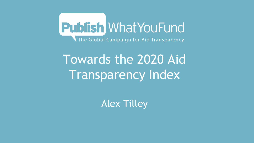

# Towards the 2020 Aid Transparency Index

Alex Tilley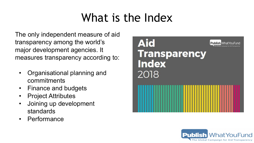## What is the Index

The only independent measure of aid transparency among the world's major development agencies. It measures transparency according to:

- Organisational planning and commitments
- Finance and budgets
- Project Attributes
- Joining up development standards
- Performance



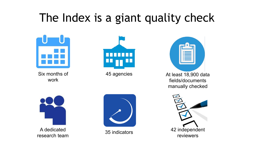### The Index is a giant quality check



Six months of work



45 agencies

At least 18,900 data fields/documents manually checked





A dedicated research team



35 indicators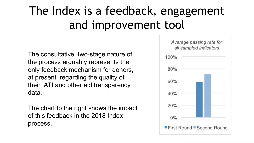# The Index is a feedback, engagement and improvement tool

The consultative, two-stage nature of the process arguably represents the only feedback mechanism for donors, at present, regarding the quality of their IATI and other aid transparency data.

The chart to the right shows the impact of this feedback in the 2018 Index process.

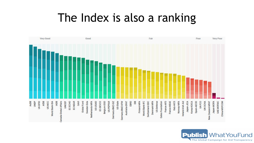#### The Index is also a ranking



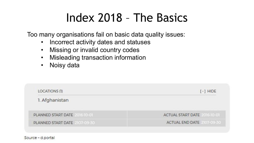### Index 2018 – The Basics

Too many organisations fail on basic data quality issues:

- Incorrect activity dates and statuses
- Missing or invalid country codes
- Misleading transaction information
- Noisy data

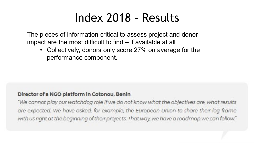#### Index 2018 – Results

The pieces of information critical to assess project and donor impact are the most difficult to find – if available at all

• Collectively, donors only score 27% on average for the performance component.

#### Director of a NGO platform in Cotonou, Benin

"We cannot play our watchdog role if we do not know what the objectives are, what results are expected. We have asked, for example, the European Union to share their log frame with us right at the beginning of their projects. That way, we have a roadmap we can follow."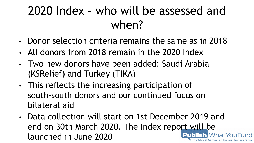# 2020 Index – who will be assessed and when?

- Donor selection criteria remains the same as in 2018
- All donors from 2018 remain in the 2020 Index
- Two new donors have been added: Saudi Arabia (KSRelief) and Turkey (TIKA)
- This reflects the increasing participation of south-south donors and our continued focus on bilateral aid
- Data collection will start on 1st December 2019 and end on 30th March 2020. The Index report will be launched in June 2020**WhatYouFund**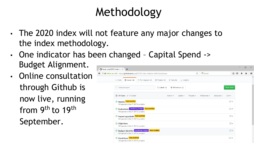# Methodology

- The 2020 index will not feature any major changes to the index methodology.
- One indicator has been changed Capital Spend -> Budget Alignment.
- Online consultation through Github is now live, running from 9<sup>th</sup> to 19<sup>th</sup> September.

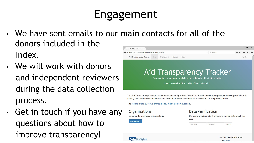# Engagement

- We have sent emails to our main contacts for all of the donors included in the Home » Publish » Aid Transpare:  $\times$  +  $C^{\prime}$  Q Search ← ① 丝 http://2018tracker.publishwhatyoufund.org/publish/ Index. Aid Transparency Tracker Home Organisations Indicators About
- We will work with donors and independent reviewers during the data collection process.
- Get in touch if you have any questions about how to improve transparency!



The Aid Transparency Tracker has been developed by Publish What You Fund to monitor progress made by organisations in making their aid information more transparent. It provides the data for the annual Aid Transparency Index.

The results of the 2018 Aid Transparency Index are now available.



Uses some great open source code

Sign in